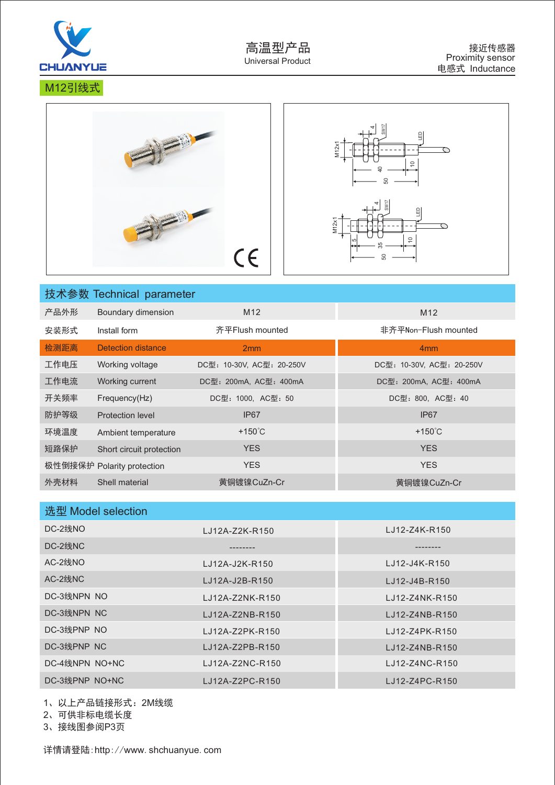

M12引线式



|      | 技术参数 Technical parameter   |                           |                           |
|------|----------------------------|---------------------------|---------------------------|
| 产品外形 | Boundary dimension         | M <sub>12</sub>           | M <sub>12</sub>           |
| 安装形式 | Install form               | 齐平Flush mounted           | 非齐平Non-Flush mounted      |
| 检测距离 | Detection distance         | 2mm                       | 4 <sub>mm</sub>           |
| 工作电压 | Working voltage            | DC型: 10-30V, AC型: 20-250V | DC型: 10-30V, AC型: 20-250V |
| 工作电流 | Working current            | DC型: 200mA, AC型: 400mA    | DC型: 200mA, AC型: 400mA    |
| 开关频率 | Frequency(Hz)              | DC型: 1000, AC型: 50        | DC型: 800, AC型: 40         |
| 防护等级 | Protection level           | IP <sub>67</sub>          | IP <sub>67</sub>          |
| 环境温度 | Ambient temperature        | $+150^{\circ}$ C          | $+150^{\circ}$ C          |
| 短路保护 | Short circuit protection   | <b>YES</b>                | <b>YES</b>                |
|      | 极性倒接保护 Polarity protection | <b>YES</b>                | <b>YES</b>                |
| 外壳材料 | Shell material             | 黄铜镀镍CuZn-Cr               | 黄铜镀镍CuZn-Cr               |

| 选型 Model selection |                 |                  |
|--------------------|-----------------|------------------|
| DC-2线NO            | LJ12A-Z2K-R150  | LJ12-Z4K-R150    |
| DC-2线NC            |                 |                  |
| AC-2线NO            | LJ12A-J2K-R150  | $1.J12-J4K-R150$ |
| AC-2线NC            | LJ12A-J2B-R150  | LJ12-J4B-R150    |
| DC-3线NPN NO        | LJ12A-Z2NK-R150 | LJ12-Z4NK-R150   |
| DC-3线NPN NC        | LJ12A-Z2NB-R150 | LJ12-Z4NB-R150   |
| DC-3线PNP NO        | LJ12A-Z2PK-R150 | LJ12-Z4PK-R150   |
| DC-3线PNP NC        | LJ12A-Z2PB-R150 | LJ12-Z4NB-R150   |
| DC-4线NPN NO+NC     | LJ12A-Z2NC-R150 | LJ12-Z4NC-R150   |
| DC-3线PNP NO+NC     | LJ12A-Z2PC-R150 | LJ12-Z4PC-R150   |

1、以上产品 链接形式:2M线缆

2、可供非标电缆长度

3、接线图参阅P3页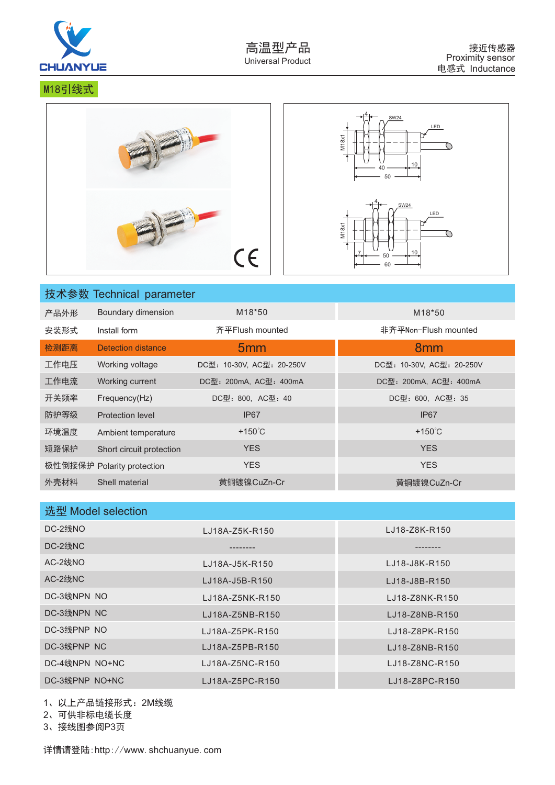

M18引线式



|      | 技术参数 Technical parameter   |                           |                           |
|------|----------------------------|---------------------------|---------------------------|
| 产品外形 | Boundary dimension         | M <sub>18</sub> *50       | M <sub>18</sub> *50       |
| 安装形式 | Install form               | 齐平Flush mounted           | 非齐平Non-Flush mounted      |
| 检测距离 | <b>Detection distance</b>  | 5 <sub>mm</sub>           | 8 <sub>mm</sub>           |
| 工作电压 | Working voltage            | DC型: 10-30V, AC型: 20-250V | DC型: 10-30V, AC型: 20-250V |
| 工作电流 | Working current            | DC型: 200mA, AC型: 400mA    | DC型: 200mA, AC型: 400mA    |
| 开关频率 | Frequency(Hz)              | DC型: 800, AC型: 40         | DC型: 600, AC型: 35         |
| 防护等级 | <b>Protection level</b>    | IP <sub>67</sub>          | IP <sub>67</sub>          |
| 环境温度 | Ambient temperature        | $+150^{\circ}$ C          | $+150^{\circ}$ C          |
| 短路保护 | Short circuit protection   | <b>YES</b>                | <b>YES</b>                |
|      | 极性倒接保护 Polarity protection | <b>YES</b>                | <b>YES</b>                |
| 外壳材料 | Shell material             | 黄铜镀镍CuZn-Cr               | 黄铜镀镍CuZn-Cr               |

| 选型 Model selection |                 |                |
|--------------------|-----------------|----------------|
| DC-2线NO            | LJ18A-Z5K-R150  | LJ18-Z8K-R150  |
| DC-2线NC            |                 |                |
| AC-2线NO            | LJ18A-J5K-R150  | LJ18-J8K-R150  |
| AC-2线NC            | LJ18A-J5B-R150  | LJ18-J8B-R150  |
| DC-3线NPN NO        | LJ18A-Z5NK-R150 | LJ18-Z8NK-R150 |
| DC-3线NPN NC        | LJ18A-Z5NB-R150 | LJ18-Z8NB-R150 |
| DC-3线PNP NO        | LJ18A-Z5PK-R150 | LJ18-Z8PK-R150 |
| DC-3线PNP NC        | LJ18A-Z5PB-R150 | LJ18-Z8NB-R150 |
| DC-4线NPN NO+NC     | LJ18A-Z5NC-R150 | LJ18-Z8NC-R150 |
| DC-3线PNP NO+NC     | LJ18A-Z5PC-R150 | LJ18-Z8PC-R150 |

1、以上产品 链接形式:2M线缆

2、可供非标电缆长度

3、接线图参阅P3页

详情请登陆:http://www.shchuanyue.com